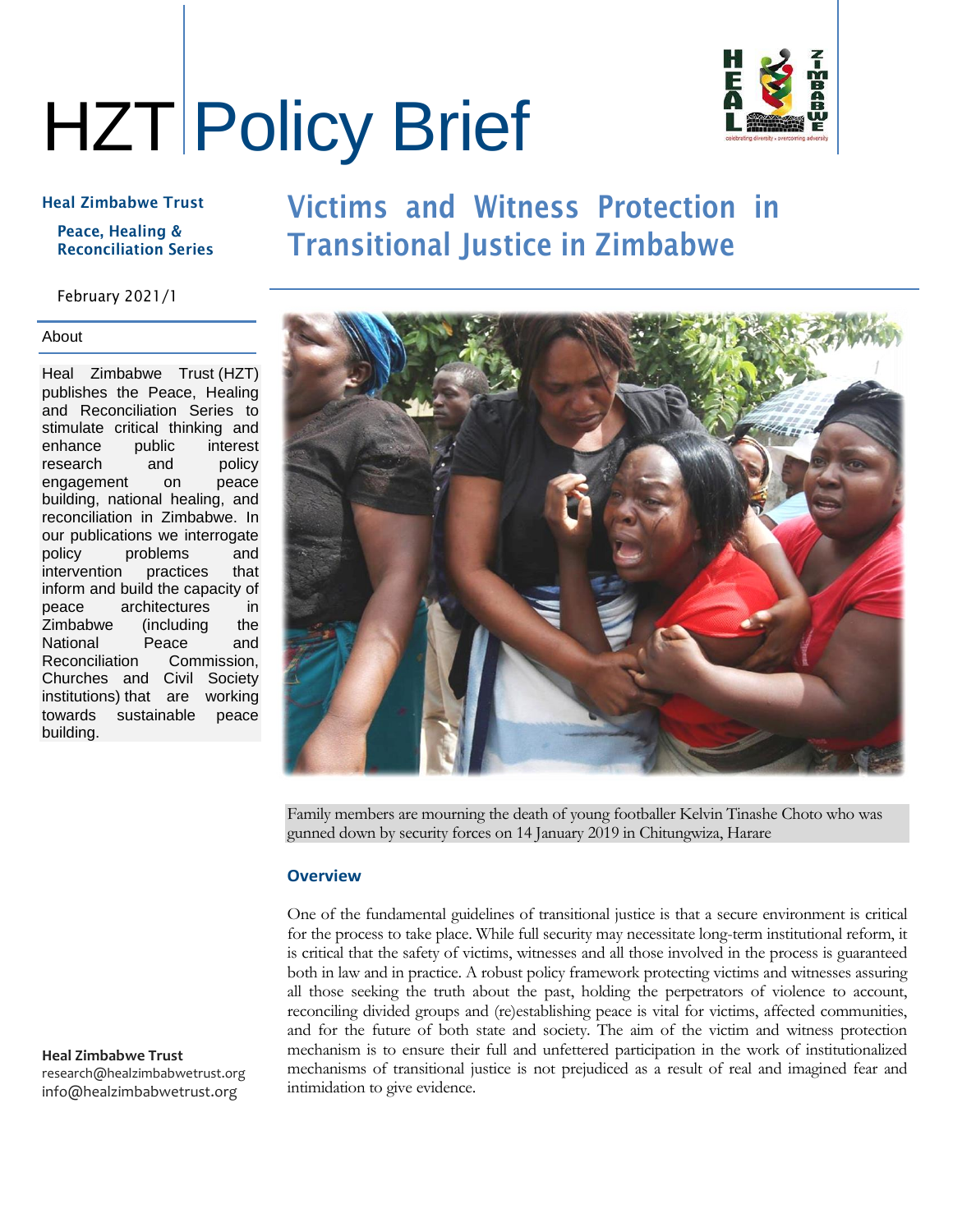# HZT Policy Brief



#### Heal Zimbabwe Trust

#### Peace, Healing & Reconciliation Series

#### February 2021/1

#### About

Heal Zimbabwe Trust (HZT) publishes the Peace, Healing and Reconciliation Series to stimulate critical thinking and enhance public interest research and policy engagement on peace building, national healing, and reconciliation in Zimbabwe. In our publications we interrogate policy problems and intervention practices that inform and build the capacity of peace architectures in Zimbabwe (including the National Peace and Reconciliation Commission, Churches and Civil Society institutions) that are working towards sustainable peace building.

#### **Heal Zimbabwe Trust**

research@healzimbabwetrust.org info@healzimbabwetrust.org

### Victims and Witness Protection in Transitional Justice in Zimbabwe



Family members are mourning the death of young footballer Kelvin Tinashe Choto who was gunned down by security forces on 14 January 2019 in Chitungwiza, Harare

#### **Overview**

One of the fundamental guidelines of transitional justice is that a secure environment is critical for the process to take place. While full security may necessitate long-term institutional reform, it is critical that the safety of victims, witnesses and all those involved in the process is guaranteed both in law and in practice. A robust policy framework protecting victims and witnesses assuring all those seeking the truth about the past, holding the perpetrators of violence to account, reconciling divided groups and (re)establishing peace is vital for victims, affected communities, and for the future of both state and society. The aim of the victim and witness protection mechanism is to ensure their full and unfettered participation in the work of institutionalized mechanisms of transitional justice is not prejudiced as a result of real and imagined fear and intimidation to give evidence.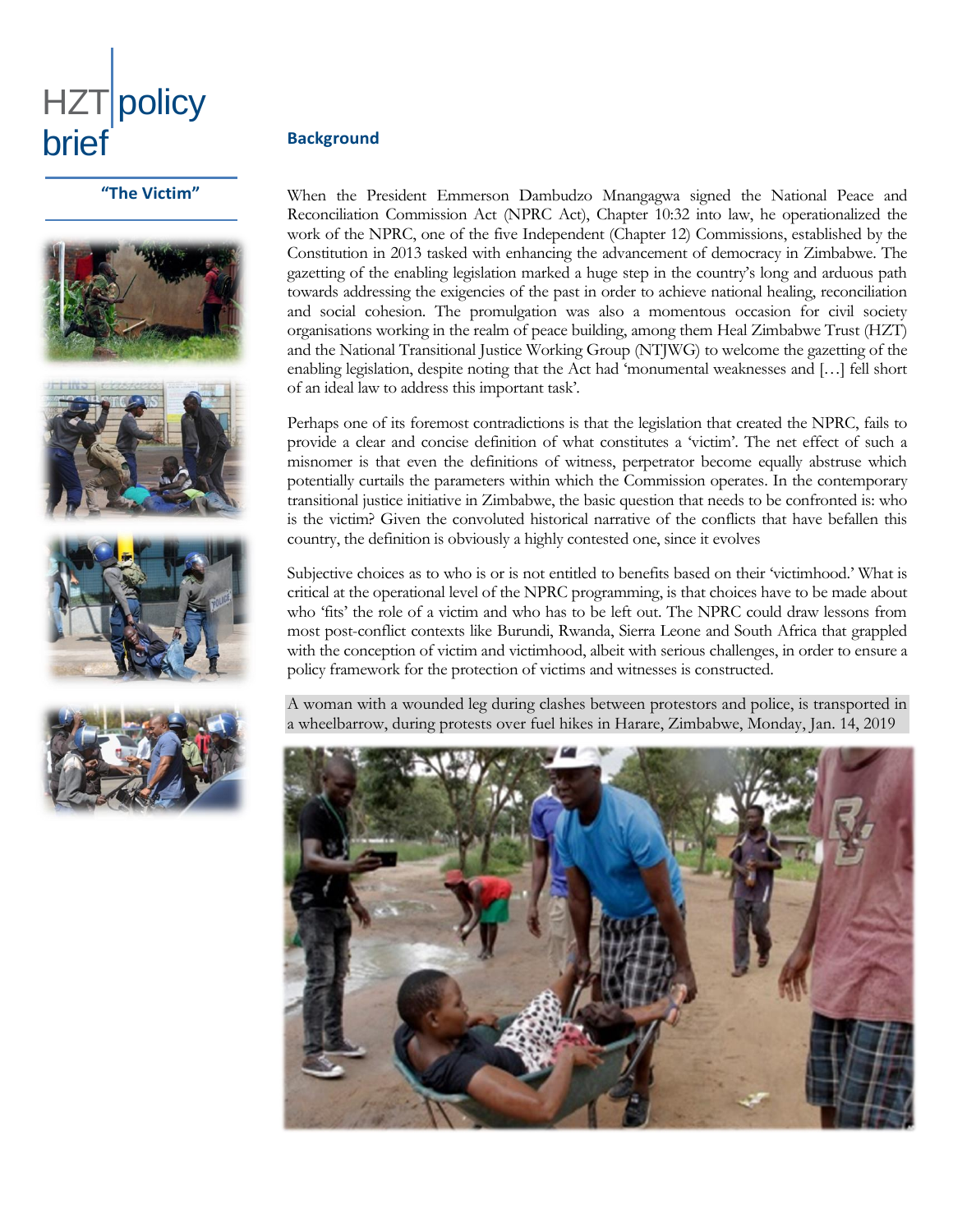

#### **"The Victim"**









#### **Background**

When the President Emmerson Dambudzo Mnangagwa signed the National Peace and Reconciliation Commission Act (NPRC Act), Chapter 10:32 into law, he operationalized the work of the NPRC, one of the five Independent (Chapter 12) Commissions, established by the Constitution in 2013 tasked with enhancing the advancement of democracy in Zimbabwe. The gazetting of the enabling legislation marked a huge step in the country's long and arduous path towards addressing the exigencies of the past in order to achieve national healing, reconciliation and social cohesion. The promulgation was also a momentous occasion for civil society organisations working in the realm of peace building, among them Heal Zimbabwe Trust (HZT) and the National Transitional Justice Working Group (NTJWG) to welcome the gazetting of the enabling legislation, despite noting that the Act had 'monumental weaknesses and […] fell short of an ideal law to address this important task'.

Perhaps one of its foremost contradictions is that the legislation that created the NPRC, fails to provide a clear and concise definition of what constitutes a 'victim'. The net effect of such a misnomer is that even the definitions of witness, perpetrator become equally abstruse which potentially curtails the parameters within which the Commission operates. In the contemporary transitional justice initiative in Zimbabwe, the basic question that needs to be confronted is: who is the victim? Given the convoluted historical narrative of the conflicts that have befallen this country, the definition is obviously a highly contested one, since it evolves

Subjective choices as to who is or is not entitled to benefits based on their 'victimhood.' What is critical at the operational level of the NPRC programming, is that choices have to be made about who 'fits' the role of a victim and who has to be left out. The NPRC could draw lessons from most post-conflict contexts like Burundi, Rwanda, Sierra Leone and South Africa that grappled with the conception of victim and victimhood, albeit with serious challenges, in order to ensure a policy framework for the protection of victims and witnesses is constructed.

A woman with a wounded leg during clashes between protestors and police, is transported in a wheelbarrow, during protests over fuel hikes in Harare, Zimbabwe, Monday, Jan. 14, 2019

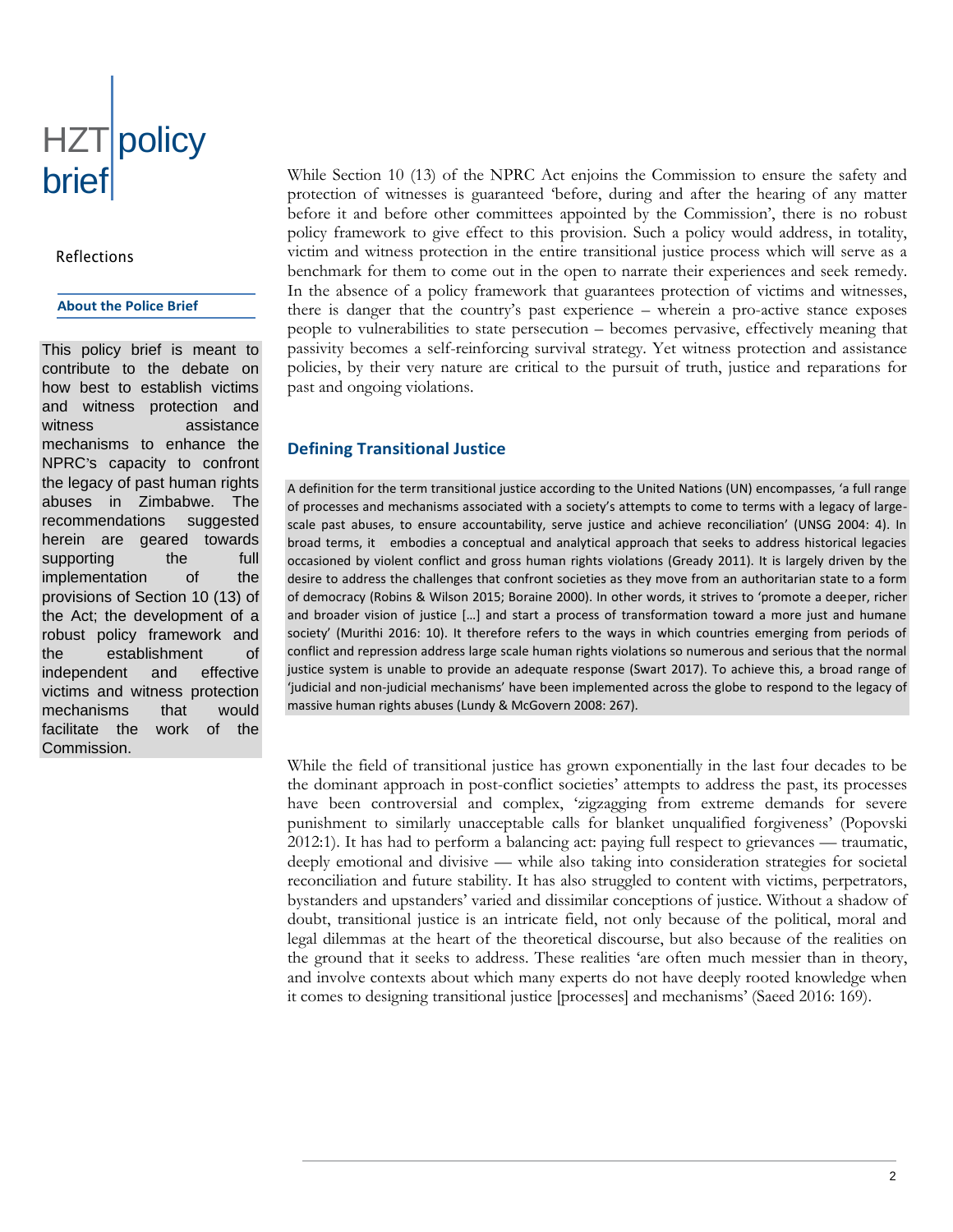## HZT policy brief

#### Reflections

#### **About the Police Brief**

This policy brief is meant to contribute to the debate on how best to establish victims and witness protection and witness assistance mechanisms to enhance the NPRC's capacity to confront the legacy of past human rights abuses in Zimbabwe. The recommendations suggested herein are geared towards supporting the full implementation of the provisions of Section 10 (13) of the Act; the development of a robust policy framework and the establishment of independent and effective victims and witness protection mechanisms that would facilitate the work of the Commission.

While Section 10 (13) of the NPRC Act enjoins the Commission to ensure the safety and protection of witnesses is guaranteed 'before, during and after the hearing of any matter before it and before other committees appointed by the Commission', there is no robust policy framework to give effect to this provision. Such a policy would address, in totality, victim and witness protection in the entire transitional justice process which will serve as a benchmark for them to come out in the open to narrate their experiences and seek remedy. In the absence of a policy framework that guarantees protection of victims and witnesses, there is danger that the country's past experience – wherein a pro-active stance exposes people to vulnerabilities to state persecution – becomes pervasive, effectively meaning that passivity becomes a self-reinforcing survival strategy. Yet witness protection and assistance policies, by their very nature are critical to the pursuit of truth, justice and reparations for past and ongoing violations.

### **Defining Transitional Justice**

A definition for the term transitional justice according to the United Nations (UN) encompasses, 'a full range of processes and mechanisms associated with a society's attempts to come to terms with a legacy of largescale past abuses, to ensure accountability, serve justice and achieve reconciliation' (UNSG 2004: 4). In broad terms, it embodies a conceptual and analytical approach that seeks to address historical legacies occasioned by violent conflict and gross human rights violations (Gready 2011). It is largely driven by the desire to address the challenges that confront societies as they move from an authoritarian state to a form of democracy (Robins & Wilson 2015; Boraine 2000). In other words, it strives to 'promote a deeper, richer and broader vision of justice […] and start a process of transformation toward a more just and humane society' (Murithi 2016: 10). It therefore refers to the ways in which countries emerging from periods of conflict and repression address large scale human rights violations so numerous and serious that the normal justice system is unable to provide an adequate response (Swart 2017). To achieve this, a broad range of 'judicial and non-judicial mechanisms' have been implemented across the globe to respond to the legacy of massive human rights abuses (Lundy & McGovern 2008: 267).

While the field of transitional justice has grown exponentially in the last four decades to be the dominant approach in post-conflict societies' attempts to address the past, its processes have been controversial and complex, 'zigzagging from extreme demands for severe punishment to similarly unacceptable calls for blanket unqualified forgiveness' (Popovski 2012:1). It has had to perform a balancing act: paying full respect to grievances — traumatic, deeply emotional and divisive — while also taking into consideration strategies for societal reconciliation and future stability. It has also struggled to content with victims, perpetrators, bystanders and upstanders' varied and dissimilar conceptions of justice. Without a shadow of doubt, transitional justice is an intricate field, not only because of the political, moral and legal dilemmas at the heart of the theoretical discourse, but also because of the realities on the ground that it seeks to address. These realities 'are often much messier than in theory, and involve contexts about which many experts do not have deeply rooted knowledge when it comes to designing transitional justice [processes] and mechanisms' (Saeed 2016: 169).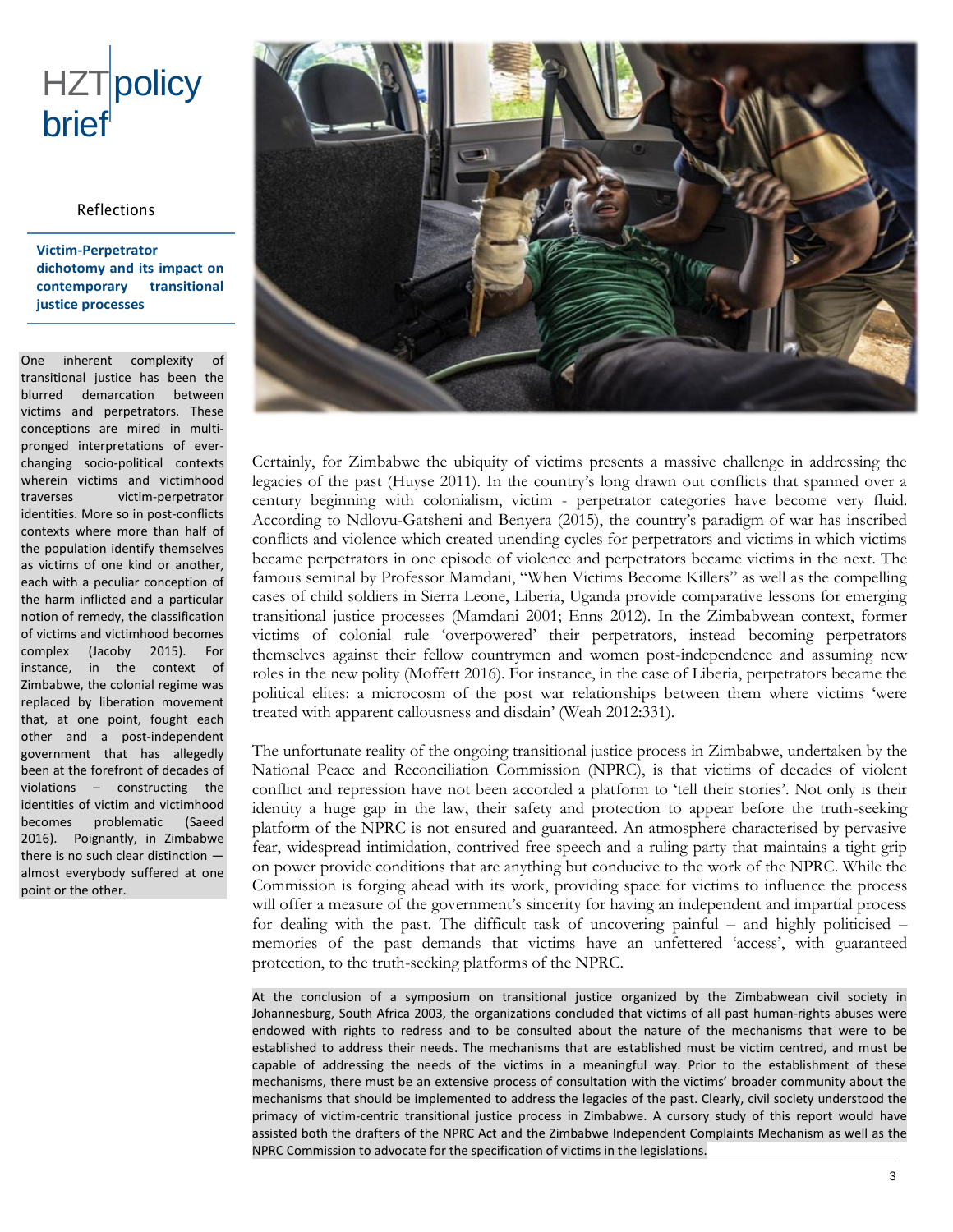### HZTpolicy brief

#### Reflections

#### **Victim-Perpetrator dichotomy and its impact on contemporary transitional justice processes**

One inherent complexity of transitional justice has been the blurred demarcation between victims and perpetrators. These conceptions are mired in multipronged interpretations of everchanging socio-political contexts wherein victims and victimhood traverses victim-perpetrator identities. More so in post-conflicts contexts where more than half of the population identify themselves as victims of one kind or another, each with a peculiar conception of the harm inflicted and a particular notion of remedy, the classification of victims and victimhood becomes complex (Jacoby 2015). For instance, in the context of Zimbabwe, the colonial regime was replaced by liberation movement that, at one point, fought each other and a post-independent government that has allegedly been at the forefront of decades of violations – constructing the identities of victim and victimhood becomes problematic (Saeed 2016). Poignantly, in Zimbabwe there is no such clear distinction almost everybody suffered at one point or the other.



Certainly, for Zimbabwe the ubiquity of victims presents a massive challenge in addressing the legacies of the past (Huyse 2011). In the country's long drawn out conflicts that spanned over a century beginning with colonialism, victim - perpetrator categories have become very fluid. According to Ndlovu-Gatsheni and Benyera (2015), the country's paradigm of war has inscribed conflicts and violence which created unending cycles for perpetrators and victims in which victims became perpetrators in one episode of violence and perpetrators became victims in the next. The famous seminal by Professor Mamdani, "When Victims Become Killers" as well as the compelling cases of child soldiers in Sierra Leone, Liberia, Uganda provide comparative lessons for emerging transitional justice processes (Mamdani 2001; Enns 2012). In the Zimbabwean context, former victims of colonial rule 'overpowered' their perpetrators, instead becoming perpetrators themselves against their fellow countrymen and women post-independence and assuming new roles in the new polity (Moffett 2016). For instance, in the case of Liberia, perpetrators became the political elites: a microcosm of the post war relationships between them where victims 'were treated with apparent callousness and disdain' (Weah 2012:331).

The unfortunate reality of the ongoing transitional justice process in Zimbabwe, undertaken by the National Peace and Reconciliation Commission (NPRC), is that victims of decades of violent conflict and repression have not been accorded a platform to 'tell their stories'. Not only is their identity a huge gap in the law, their safety and protection to appear before the truth-seeking platform of the NPRC is not ensured and guaranteed. An atmosphere characterised by pervasive fear, widespread intimidation, contrived free speech and a ruling party that maintains a tight grip on power provide conditions that are anything but conducive to the work of the NPRC. While the Commission is forging ahead with its work, providing space for victims to influence the process will offer a measure of the government's sincerity for having an independent and impartial process for dealing with the past. The difficult task of uncovering painful – and highly politicised – memories of the past demands that victims have an unfettered 'access', with guaranteed protection, to the truth-seeking platforms of the NPRC.

At the conclusion of a symposium on transitional justice organized by the Zimbabwean civil society in Johannesburg, South Africa 2003, the organizations concluded that victims of all past human-rights abuses were endowed with rights to redress and to be consulted about the nature of the mechanisms that were to be established to address their needs. The mechanisms that are established must be victim centred, and must be capable of addressing the needs of the victims in a meaningful way. Prior to the establishment of these mechanisms, there must be an extensive process of consultation with the victims' broader community about the mechanisms that should be implemented to address the legacies of the past. Clearly, civil society understood the primacy of victim-centric transitional justice process in Zimbabwe. A cursory study of this report would have assisted both the drafters of the NPRC Act and the Zimbabwe Independent Complaints Mechanism as well as the NPRC Commission to advocate for the specification of victims in the legislations.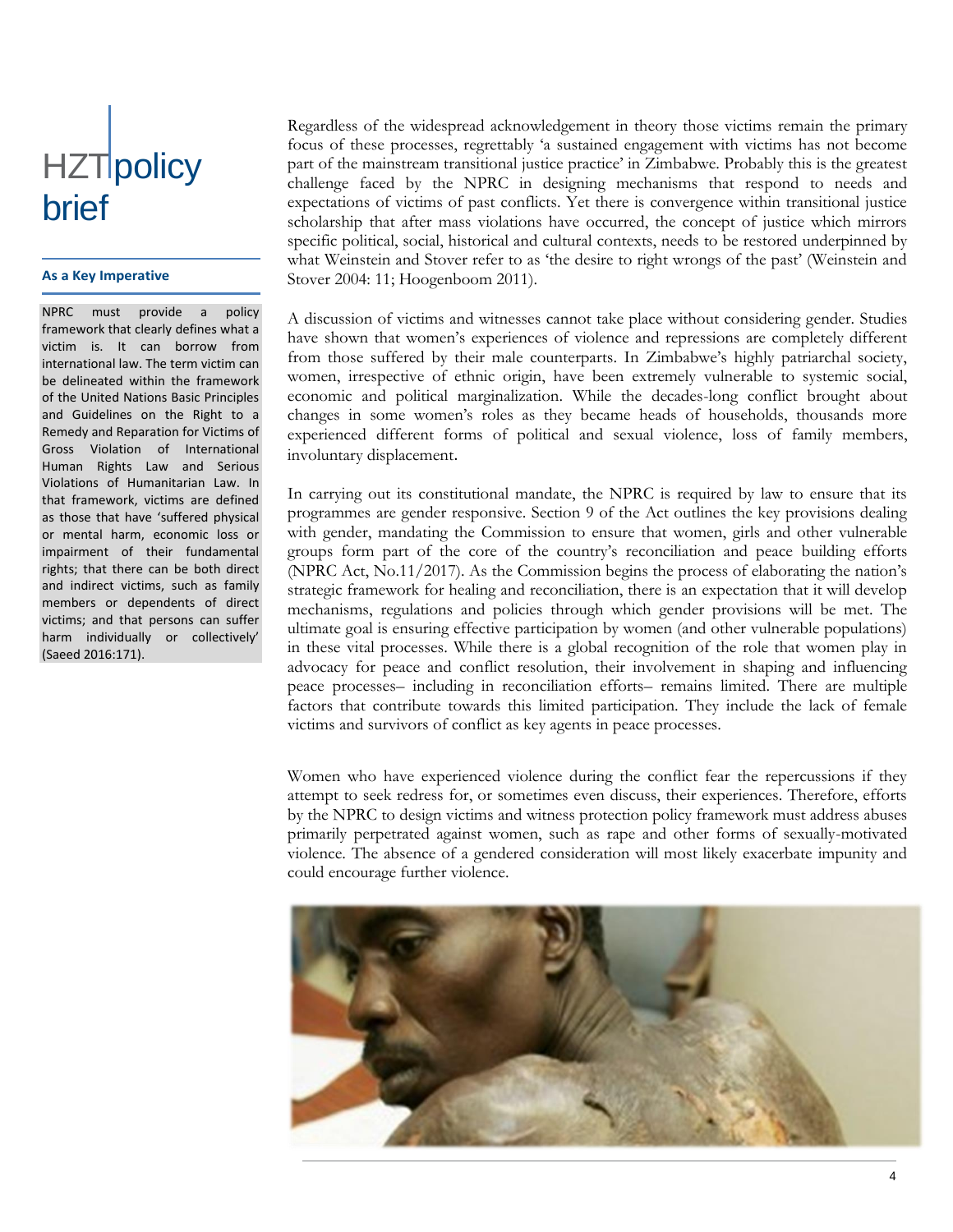### HZTipolicy brief

#### **As a Key Imperative**

NPRC must provide a policy framework that clearly defines what a victim is. It can borrow from international law. The term victim can be delineated within the framework of the United Nations Basic Principles and Guidelines on the Right to a Remedy and Reparation for Victims of Gross Violation of International Human Rights Law and Serious Violations of Humanitarian Law. In that framework, victims are defined as those that have 'suffered physical or mental harm, economic loss or impairment of their fundamental rights; that there can be both direct and indirect victims, such as family members or dependents of direct victims; and that persons can suffer harm individually or collectively' (Saeed 2016:171).

Regardless of the widespread acknowledgement in theory those victims remain the primary focus of these processes, regrettably 'a sustained engagement with victims has not become part of the mainstream transitional justice practice' in Zimbabwe. Probably this is the greatest challenge faced by the NPRC in designing mechanisms that respond to needs and expectations of victims of past conflicts. Yet there is convergence within transitional justice scholarship that after mass violations have occurred, the concept of justice which mirrors specific political, social, historical and cultural contexts, needs to be restored underpinned by what Weinstein and Stover refer to as 'the desire to right wrongs of the past' (Weinstein and Stover 2004: 11; Hoogenboom 2011).

A discussion of victims and witnesses cannot take place without considering gender. Studies have shown that women's experiences of violence and repressions are completely different from those suffered by their male counterparts. In Zimbabwe's highly patriarchal society, women, irrespective of ethnic origin, have been extremely vulnerable to systemic social, economic and political marginalization. While the decades-long conflict brought about changes in some women's roles as they became heads of households, thousands more experienced different forms of political and sexual violence, loss of family members, involuntary displacement.

In carrying out its constitutional mandate, the NPRC is required by law to ensure that its programmes are gender responsive. Section 9 of the Act outlines the key provisions dealing with gender, mandating the Commission to ensure that women, girls and other vulnerable groups form part of the core of the country's reconciliation and peace building efforts (NPRC Act, No.11/2017). As the Commission begins the process of elaborating the nation's strategic framework for healing and reconciliation, there is an expectation that it will develop mechanisms, regulations and policies through which gender provisions will be met. The ultimate goal is ensuring effective participation by women (and other vulnerable populations) in these vital processes. While there is a global recognition of the role that women play in advocacy for peace and conflict resolution, their involvement in shaping and influencing peace processes– including in reconciliation efforts– remains limited. There are multiple factors that contribute towards this limited participation. They include the lack of female victims and survivors of conflict as key agents in peace processes.

Women who have experienced violence during the conflict fear the repercussions if they attempt to seek redress for, or sometimes even discuss, their experiences. Therefore, efforts by the NPRC to design victims and witness protection policy framework must address abuses primarily perpetrated against women, such as rape and other forms of sexually-motivated violence. The absence of a gendered consideration will most likely exacerbate impunity and could encourage further violence.

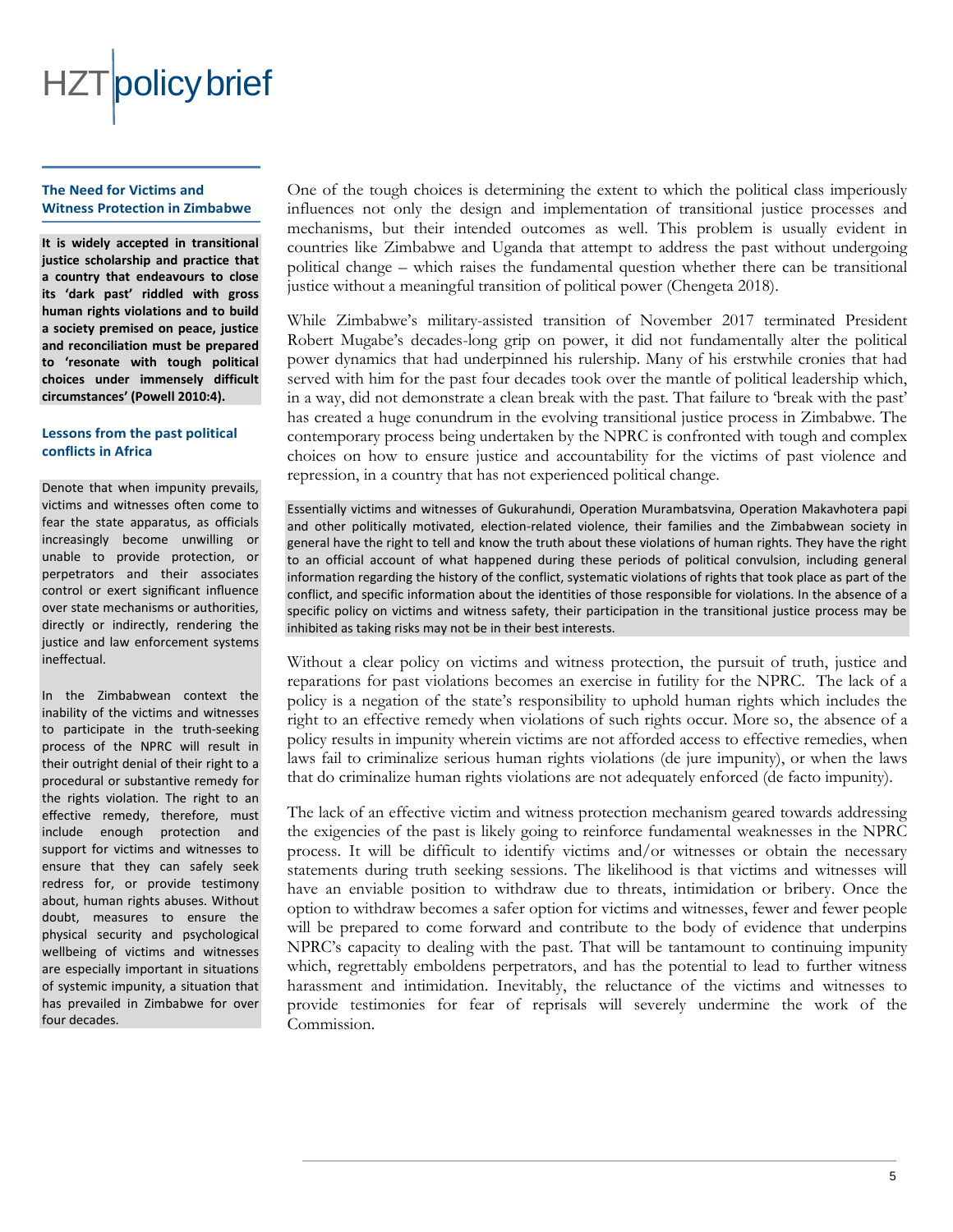

#### **The Need for Victims and Witness Protection in Zimbabwe**

**It is widely accepted in transitional justice scholarship and practice that a country that endeavours to close its 'dark past' riddled with gross human rights violations and to build a society premised on peace, justice and reconciliation must be prepared to 'resonate with tough political choices under immensely difficult circumstances' (Powell 2010:4).**

#### **Lessons from the past political conflicts in Africa**

Denote that when impunity prevails, victims and witnesses often come to fear the state apparatus, as officials increasingly become unwilling or unable to provide protection, or perpetrators and their associates control or exert significant influence over state mechanisms or authorities, directly or indirectly, rendering the justice and law enforcement systems ineffectual.

In the Zimbabwean context the inability of the victims and witnesses to participate in the truth-seeking process of the NPRC will result in their outright denial of their right to a procedural or substantive remedy for the rights violation. The right to an effective remedy, therefore, must include enough protection and support for victims and witnesses to ensure that they can safely seek redress for, or provide testimony about, human rights abuses. Without doubt, measures to ensure the physical security and psychological wellbeing of victims and witnesses are especially important in situations of systemic impunity, a situation that has prevailed in Zimbabwe for over four decades.

One of the tough choices is determining the extent to which the political class imperiously influences not only the design and implementation of transitional justice processes and mechanisms, but their intended outcomes as well. This problem is usually evident in countries like Zimbabwe and Uganda that attempt to address the past without undergoing political change – which raises the fundamental question whether there can be transitional justice without a meaningful transition of political power (Chengeta 2018).

While Zimbabwe's military-assisted transition of November 2017 terminated President Robert Mugabe's decades-long grip on power, it did not fundamentally alter the political power dynamics that had underpinned his rulership. Many of his erstwhile cronies that had served with him for the past four decades took over the mantle of political leadership which, in a way, did not demonstrate a clean break with the past. That failure to 'break with the past' has created a huge conundrum in the evolving transitional justice process in Zimbabwe. The contemporary process being undertaken by the NPRC is confronted with tough and complex choices on how to ensure justice and accountability for the victims of past violence and repression, in a country that has not experienced political change.

Essentially victims and witnesses of Gukurahundi, Operation Murambatsvina, Operation Makavhotera papi and other politically motivated, election-related violence, their families and the Zimbabwean society in general have the right to tell and know the truth about these violations of human rights. They have the right to an official account of what happened during these periods of political convulsion, including general information regarding the history of the conflict, systematic violations of rights that took place as part of the conflict, and specific information about the identities of those responsible for violations. In the absence of a specific policy on victims and witness safety, their participation in the transitional justice process may be inhibited as taking risks may not be in their best interests.

Without a clear policy on victims and witness protection, the pursuit of truth, justice and reparations for past violations becomes an exercise in futility for the NPRC. The lack of a policy is a negation of the state's responsibility to uphold human rights which includes the right to an effective remedy when violations of such rights occur. More so, the absence of a policy results in impunity wherein victims are not afforded access to effective remedies, when laws fail to criminalize serious human rights violations (de jure impunity), or when the laws that do criminalize human rights violations are not adequately enforced (de facto impunity).

The lack of an effective victim and witness protection mechanism geared towards addressing the exigencies of the past is likely going to reinforce fundamental weaknesses in the NPRC process. It will be difficult to identify victims and/or witnesses or obtain the necessary statements during truth seeking sessions. The likelihood is that victims and witnesses will have an enviable position to withdraw due to threats, intimidation or bribery. Once the option to withdraw becomes a safer option for victims and witnesses, fewer and fewer people will be prepared to come forward and contribute to the body of evidence that underpins NPRC's capacity to dealing with the past. That will be tantamount to continuing impunity which, regrettably emboldens perpetrators, and has the potential to lead to further witness harassment and intimidation. Inevitably, the reluctance of the victims and witnesses to provide testimonies for fear of reprisals will severely undermine the work of the Commission.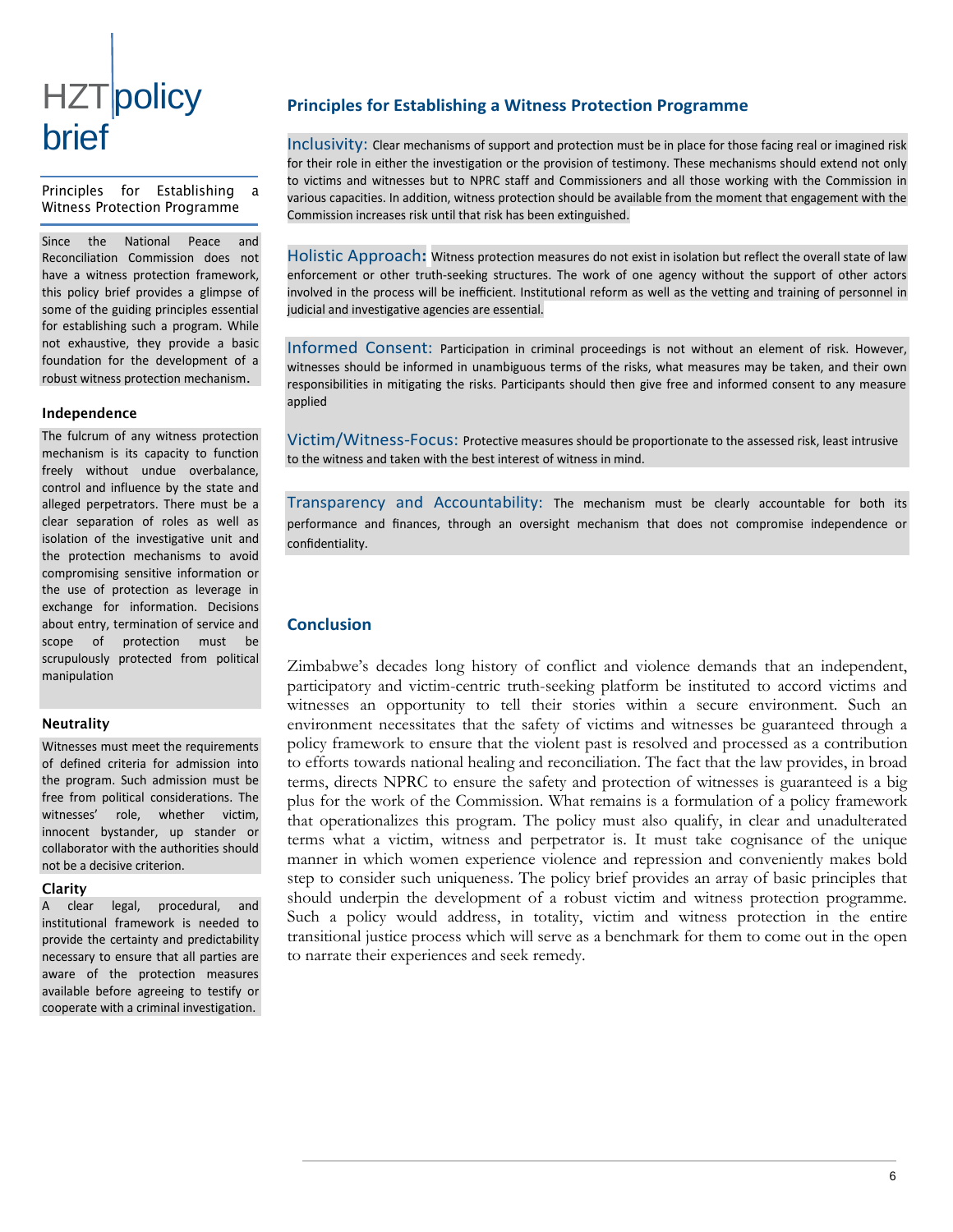### **HZT**policy brief

Principles for Establishing Witness Protection Programme

Since the National Peace and Reconciliation Commission does not have a witness protection framework, this policy brief provides a glimpse of some of the guiding principles essential for establishing such a program. While not exhaustive, they provide a basic foundation for the development of a robust witness protection mechanism.

#### Independence

The fulcrum of any witness protection mechanism is its capacity to function freely without undue overbalance, control and influence by the state and alleged perpetrators. There must be a clear separation of roles as well as isolation of the investigative unit and the protection mechanisms to avoid compromising sensitive information or the use of protection as leverage in exchange for information. Decisions about entry, termination of service and scope of protection must be scrupulously protected from political manipulation

#### Neutrality

Witnesses must meet the requirements of defined criteria for admission into the program. Such admission must be free from political considerations. The witnesses' role, whether victim, innocent bystander, up stander or collaborator with the authorities should not be a decisive criterion.

#### Clarity

A clear legal, procedural, and institutional framework is needed to provide the certainty and predictability necessary to ensure that all parties are aware of the protection measures available before agreeing to testify or cooperate with a criminal investigation.

#### **Principles for Establishing a Witness Protection Programme**

Inclusivity: Clear mechanisms of support and protection must be in place for those facing real or imagined risk for their role in either the investigation or the provision of testimony. These mechanisms should extend not only to victims and witnesses but to NPRC staff and Commissioners and all those working with the Commission in various capacities. In addition, witness protection should be available from the moment that engagement with the Commission increases risk until that risk has been extinguished.

Holistic Approach**:** Witness protection measures do not exist in isolation but reflect the overall state of law enforcement or other truth-seeking structures. The work of one agency without the support of other actors involved in the process will be inefficient. Institutional reform as well as the vetting and training of personnel in judicial and investigative agencies are essential.

Informed Consent: Participation in criminal proceedings is not without an element of risk. However, witnesses should be informed in unambiguous terms of the risks, what measures may be taken, and their own responsibilities in mitigating the risks. Participants should then give free and informed consent to any measure applied

Victim/Witness-Focus: Protective measures should be proportionate to the assessed risk, least intrusive to the witness and taken with the best interest of witness in mind.

Transparency and Accountability: The mechanism must be clearly accountable for both its performance and finances, through an oversight mechanism that does not compromise independence or confidentiality.

#### **Conclusion**

Zimbabwe's decades long history of conflict and violence demands that an independent, participatory and victim-centric truth-seeking platform be instituted to accord victims and witnesses an opportunity to tell their stories within a secure environment. Such an environment necessitates that the safety of victims and witnesses be guaranteed through a policy framework to ensure that the violent past is resolved and processed as a contribution to efforts towards national healing and reconciliation. The fact that the law provides, in broad terms, directs NPRC to ensure the safety and protection of witnesses is guaranteed is a big plus for the work of the Commission. What remains is a formulation of a policy framework that operationalizes this program. The policy must also qualify, in clear and unadulterated terms what a victim, witness and perpetrator is. It must take cognisance of the unique manner in which women experience violence and repression and conveniently makes bold step to consider such uniqueness. The policy brief provides an array of basic principles that should underpin the development of a robust victim and witness protection programme. Such a policy would address, in totality, victim and witness protection in the entire transitional justice process which will serve as a benchmark for them to come out in the open to narrate their experiences and seek remedy.